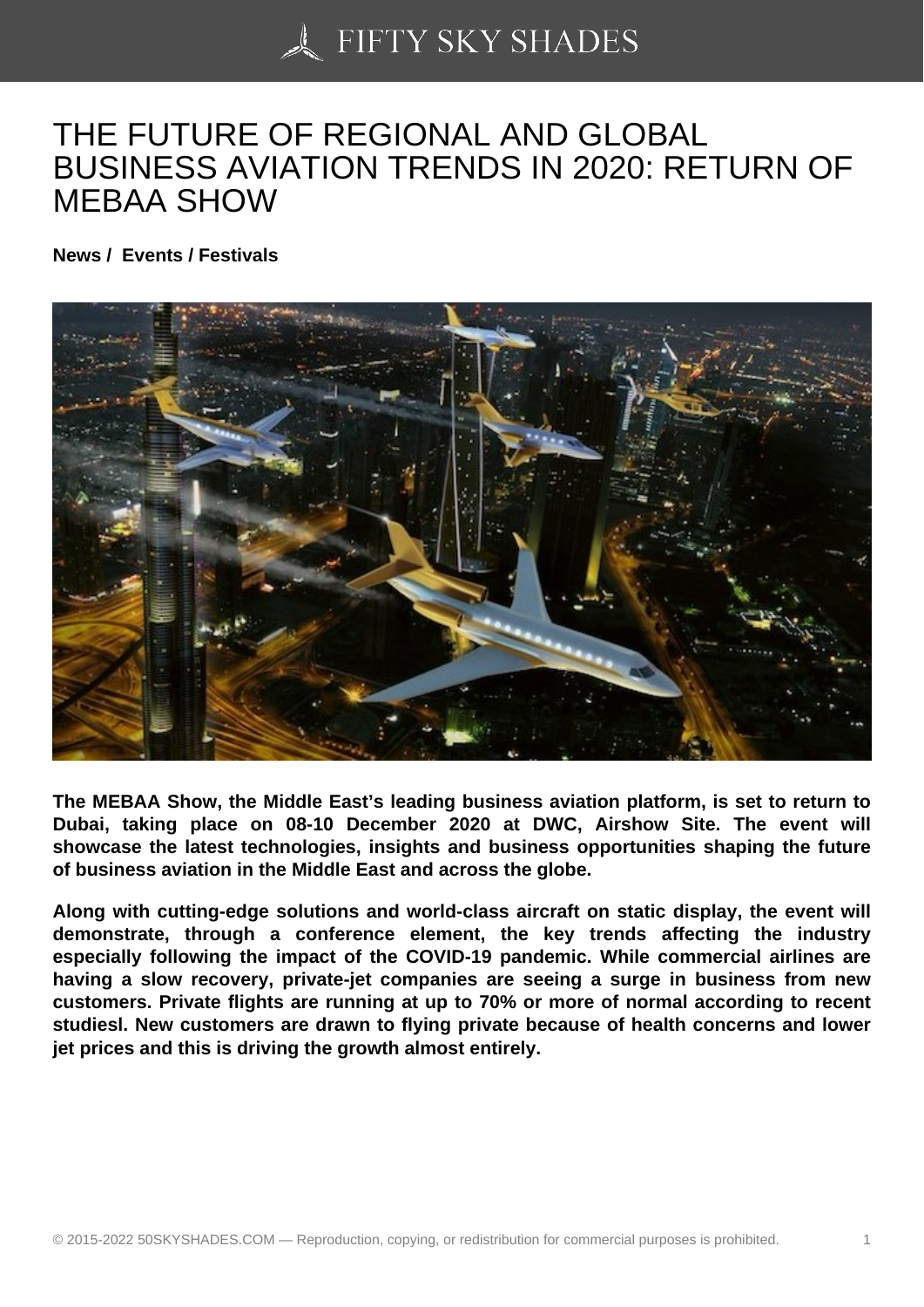## [THE FUTURE OF REG](https://50skyshades.com)IONAL AND GLOBAL BUSINESS AVIATION TRENDS IN 2020: RETURN OF MEBAA SHOW

News / Events / Festivals

The MEBAA Show, the Middle East's leading business aviation platform, is set to return to Dubai, taking place on 08-10 December 2020 at DWC, Airshow Site. The event will showcase the latest technologies, insights and business opportunities shaping the future of business aviation in the Middle East and across the globe.

Along with cutting-edge solutions and world-class aircraft on static display, the event will demonstrate, through a conference element, the key trends affecting the industry especially following the impact of the COVID-19 pandemic. While commercial airlines are having a slow recovery, private-jet companies are seeing a surge in business from new customers. Private flights are running at up to 70% or more of normal according to recent studiesl. New customers are drawn to flying private because of health concerns and lower jet prices and this is driving the growth almost entirely.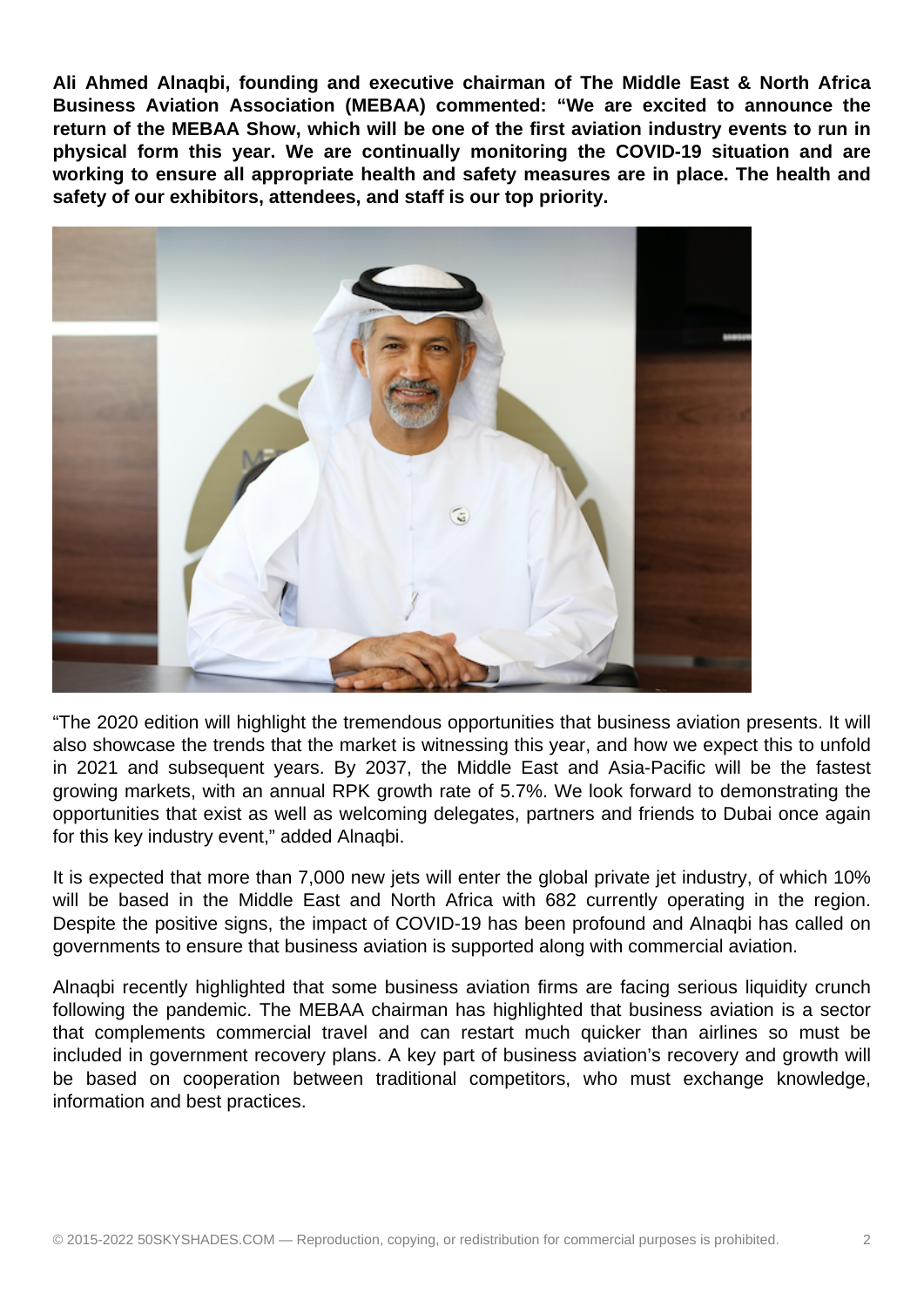**Ali Ahmed Alnaqbi, founding and executive chairman of The Middle East & North Africa Business Aviation Association (MEBAA) commented: "We are excited to announce the return of the MEBAA Show, which will be one of the first aviation industry events to run in physical form this year. We are continually monitoring the COVID-19 situation and are working to ensure all appropriate health and safety measures are in place. The health and safety of our exhibitors, attendees, and staff is our top priority.**



"The 2020 edition will highlight the tremendous opportunities that business aviation presents. It will also showcase the trends that the market is witnessing this year, and how we expect this to unfold in 2021 and subsequent years. By 2037, the Middle East and Asia-Pacific will be the fastest growing markets, with an annual RPK growth rate of 5.7%. We look forward to demonstrating the opportunities that exist as well as welcoming delegates, partners and friends to Dubai once again for this key industry event," added Alnaqbi.

It is expected that more than 7,000 new jets will enter the global private jet industry, of which 10% will be based in the Middle East and North Africa with 682 currently operating in the region. Despite the positive signs, the impact of COVID-19 has been profound and Alnaqbi has called on governments to ensure that business aviation is supported along with commercial aviation.

Alnaqbi recently highlighted that some business aviation firms are facing serious liquidity crunch following the pandemic. The MEBAA chairman has highlighted that business aviation is a sector that complements commercial travel and can restart much quicker than airlines so must be included in government recovery plans. A key part of business aviation's recovery and growth will be based on cooperation between traditional competitors, who must exchange knowledge, information and best practices.